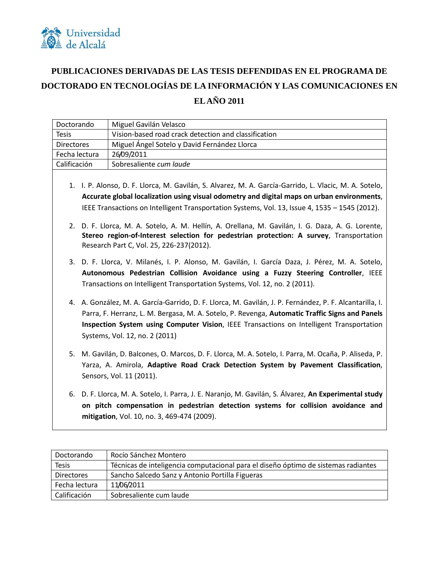

## **PUBLICACIONES DERIVADAS DE LAS TESIS DEFENDIDAS EN EL PROGRAMA DE DOCTORADO EN TECNOLOGÍAS DE LA INFORMACIÓN Y LAS COMUNICACIONES EN EL AÑO 2011**

| Doctorando                                                                                                                                                                                                                                                                                                                                                                                                                                                                                           | Miguel Gavilán Velasco                                                                                                                                                                                                                                                                                                                  |
|------------------------------------------------------------------------------------------------------------------------------------------------------------------------------------------------------------------------------------------------------------------------------------------------------------------------------------------------------------------------------------------------------------------------------------------------------------------------------------------------------|-----------------------------------------------------------------------------------------------------------------------------------------------------------------------------------------------------------------------------------------------------------------------------------------------------------------------------------------|
| <b>Tesis</b>                                                                                                                                                                                                                                                                                                                                                                                                                                                                                         | Vision-based road crack detection and classification                                                                                                                                                                                                                                                                                    |
| <b>Directores</b>                                                                                                                                                                                                                                                                                                                                                                                                                                                                                    | Miguel Ángel Sotelo y David Fernández Llorca                                                                                                                                                                                                                                                                                            |
| Fecha lectura                                                                                                                                                                                                                                                                                                                                                                                                                                                                                        | 26/09/2011                                                                                                                                                                                                                                                                                                                              |
| Calificación                                                                                                                                                                                                                                                                                                                                                                                                                                                                                         | Sobresaliente cum laude                                                                                                                                                                                                                                                                                                                 |
| 1. I. P. Alonso, D. F. Llorca, M. Gavilán, S. Alvarez, M. A. García-Garrido, L. Vlacic, M. A. Sotelo,<br>Accurate global localization using visual odometry and digital maps on urban environments,<br>IEEE Transactions on Intelligent Transportation Systems, Vol. 13, Issue 4, 1535 - 1545 (2012).<br>2. D. F. Llorca, M. A. Sotelo, A. M. Hellín, A. Orellana, M. Gavilán, I. G. Daza, A. G. Lorente,<br>Stereo region-of-Interest selection for pedestrian protection: A survey, Transportation |                                                                                                                                                                                                                                                                                                                                         |
|                                                                                                                                                                                                                                                                                                                                                                                                                                                                                                      | Research Part C, Vol. 25, 226-237(2012).<br>3. D. F. Llorca, V. Milanés, I. P. Alonso, M. Gavilán, I. García Daza, J. Pérez, M. A. Sotelo,<br>Autonomous Pedestrian Collision Avoidance using a Fuzzy Steering Controller, IEEE<br>Transactions on Intelligent Transportation Systems, Vol. 12, no. 2 (2011).                           |
|                                                                                                                                                                                                                                                                                                                                                                                                                                                                                                      | 4. A. González, M. A. García-Garrido, D. F. Llorca, M. Gavilán, J. P. Fernández, P. F. Alcantarilla, I.<br>Parra, F. Herranz, L. M. Bergasa, M. A. Sotelo, P. Revenga, Automatic Traffic Signs and Panels<br>Inspection System using Computer Vision, IEEE Transactions on Intelligent Transportation<br>Systems, Vol. 12, no. 2 (2011) |
|                                                                                                                                                                                                                                                                                                                                                                                                                                                                                                      | 5. M. Gavilán, D. Balcones, O. Marcos, D. F. Llorca, M. A. Sotelo, I. Parra, M. Ocaña, P. Aliseda, P.<br>Yarza, A. Amirola, Adaptive Road Crack Detection System by Pavement Classification,<br>Sensors, Vol. 11 (2011).                                                                                                                |
|                                                                                                                                                                                                                                                                                                                                                                                                                                                                                                      | 6. D. F. Llorca, M. A. Sotelo, I. Parra, J. E. Naranjo, M. Gavilán, S. Álvarez, An Experimental study<br>on pitch compensation in pedestrian detection systems for collision avoidance and<br>mitigation, Vol. 10, no. 3, 469-474 (2009).                                                                                               |

| Doctorando    | Rocío Sánchez Montero                                                              |
|---------------|------------------------------------------------------------------------------------|
| <b>Tesis</b>  | Técnicas de inteligencia computacional para el diseño óptimo de sistemas radiantes |
| Directores    | Sancho Salcedo Sanz y Antonio Portilla Figueras                                    |
| Fecha lectura | 11/06/2011                                                                         |
| Calificación  | Sobresaliente cum laude                                                            |